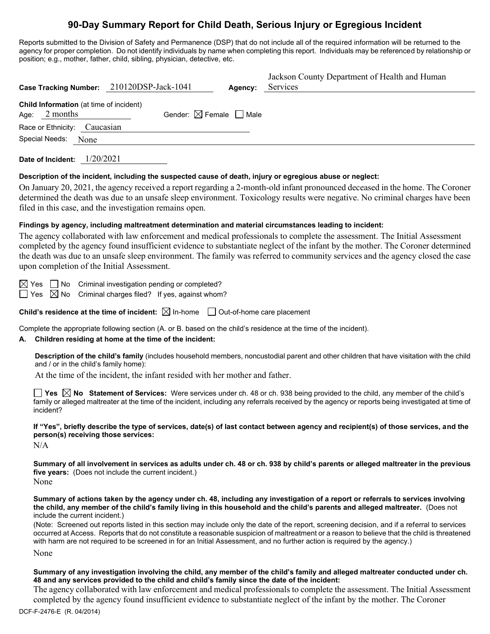# **90-Day Summary Report for Child Death, Serious Injury or Egregious Incident**

Reports submitted to the Division of Safety and Permanence (DSP) that do not include all of the required information will be returned to the agency for proper completion. Do not identify individuals by name when completing this report. Individuals may be referenced by relationship or position; e.g., mother, father, child, sibling, physician, detective, etc.

|                                                             | Case Tracking Number: 210120DSP-Jack-1041 | Agency: | Jackson County Department of Health and Human<br>Services |
|-------------------------------------------------------------|-------------------------------------------|---------|-----------------------------------------------------------|
| Child Information (at time of incident)<br>2 months<br>Age: | Gender: $\boxtimes$ Female $\Box$ Male    |         |                                                           |
| Race or Ethnicity: Caucasian                                |                                           |         |                                                           |
| Special Needs:<br>None                                      |                                           |         |                                                           |
|                                                             |                                           |         |                                                           |

**Date of Incident:** 1/20/2021

## **Description of the incident, including the suspected cause of death, injury or egregious abuse or neglect:**

On January 20, 2021, the agency received a report regarding a 2-month-old infant pronounced deceased in the home. The Coroner determined the death was due to an unsafe sleep environment. Toxicology results were negative. No criminal charges have been filed in this case, and the investigation remains open.

### **Findings by agency, including maltreatment determination and material circumstances leading to incident:**

The agency collaborated with law enforcement and medical professionals to complete the assessment. The Initial Assessment completed by the agency found insufficient evidence to substantiate neglect of the infant by the mother. The Coroner determined the death was due to an unsafe sleep environment. The family was referred to community services and the agency closed the case upon completion of the Initial Assessment.

 $\boxtimes$  Yes  $\Box$  No Criminal investigation pending or completed?

 $\Box$  Yes  $\boxtimes$  No Criminal charges filed? If yes, against whom?

**Child's residence at the time of incident:**  $\boxtimes$  In-home  $\Box$  Out-of-home care placement

Complete the appropriate following section (A. or B. based on the child's residence at the time of the incident).

## **A. Children residing at home at the time of the incident:**

**Description of the child's family** (includes household members, noncustodial parent and other children that have visitation with the child and / or in the child's family home):

At the time of the incident, the infant resided with her mother and father.

**Yes No Statement of Services:** Were services under ch. 48 or ch. 938 being provided to the child, any member of the child's family or alleged maltreater at the time of the incident, including any referrals received by the agency or reports being investigated at time of incident?

**If "Yes", briefly describe the type of services, date(s) of last contact between agency and recipient(s) of those services, and the person(s) receiving those services:** 

N/A

**Summary of all involvement in services as adults under ch. 48 or ch. 938 by child's parents or alleged maltreater in the previous five years:** (Does not include the current incident.)

None

**Summary of actions taken by the agency under ch. 48, including any investigation of a report or referrals to services involving the child, any member of the child's family living in this household and the child's parents and alleged maltreater.** (Does not include the current incident.)

(Note: Screened out reports listed in this section may include only the date of the report, screening decision, and if a referral to services occurred at Access. Reports that do not constitute a reasonable suspicion of maltreatment or a reason to believe that the child is threatened with harm are not required to be screened in for an Initial Assessment, and no further action is required by the agency.)

None

**Summary of any investigation involving the child, any member of the child's family and alleged maltreater conducted under ch. 48 and any services provided to the child and child's family since the date of the incident:**

The agency collaborated with law enforcement and medical professionals to complete the assessment. The Initial Assessment completed by the agency found insufficient evidence to substantiate neglect of the infant by the mother. The Coroner